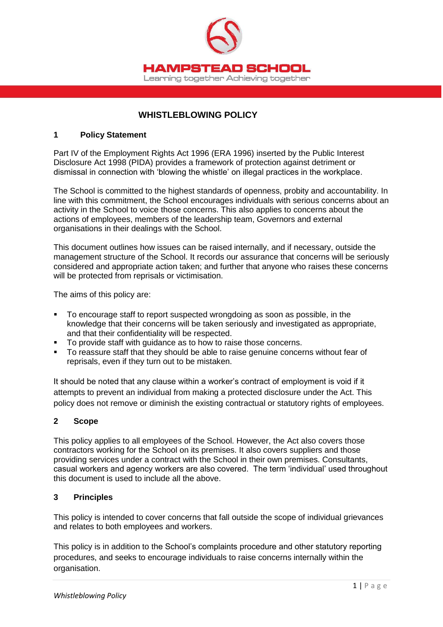

# **WHISTLEBLOWING POLICY**

#### **1 Policy Statement**

Part IV of the Employment Rights Act 1996 (ERA 1996) inserted by the Public Interest Disclosure Act 1998 (PIDA) provides a framework of protection against detriment or dismissal in connection with 'blowing the whistle' on illegal practices in the workplace.

The School is committed to the highest standards of openness, probity and accountability. In line with this commitment, the School encourages individuals with serious concerns about an activity in the School to voice those concerns. This also applies to concerns about the actions of employees, members of the leadership team, Governors and external organisations in their dealings with the School.

This document outlines how issues can be raised internally, and if necessary, outside the management structure of the School. It records our assurance that concerns will be seriously considered and appropriate action taken; and further that anyone who raises these concerns will be protected from reprisals or victimisation.

The aims of this policy are:

- To encourage staff to report suspected wrongdoing as soon as possible, in the knowledge that their concerns will be taken seriously and investigated as appropriate, and that their confidentiality will be respected.
- To provide staff with guidance as to how to raise those concerns.
- To reassure staff that they should be able to raise genuine concerns without fear of reprisals, even if they turn out to be mistaken.

It should be noted that any clause within a worker's contract of employment is void if it attempts to prevent an individual from making a protected disclosure under the Act. This policy does not remove or diminish the existing contractual or statutory rights of employees.

#### **2 Scope**

This policy applies to all employees of the School. However, the Act also covers those contractors working for the School on its premises. It also covers suppliers and those providing services under a contract with the School in their own premises. Consultants, casual workers and agency workers are also covered. The term 'individual' used throughout this document is used to include all the above.

#### **3 Principles**

This policy is intended to cover concerns that fall outside the scope of individual grievances and relates to both employees and workers.

This policy is in addition to the School's complaints procedure and other statutory reporting procedures, and seeks to encourage individuals to raise concerns internally within the organisation.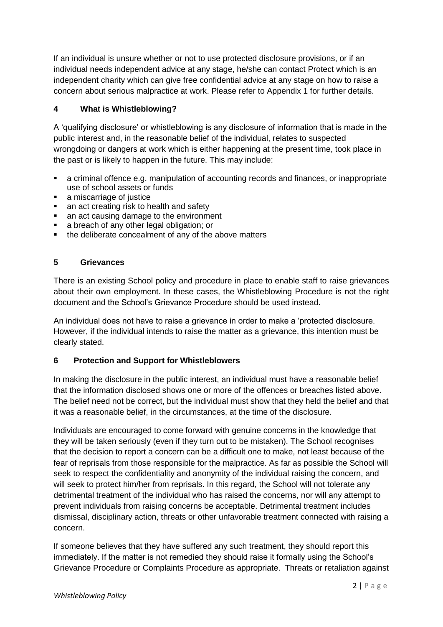If an individual is unsure whether or not to use protected disclosure provisions, or if an individual needs independent advice at any stage, he/she can contact Protect which is an independent charity which can give free confidential advice at any stage on how to raise a concern about serious malpractice at work. Please refer to Appendix 1 for further details.

# **4 What is Whistleblowing?**

A 'qualifying disclosure' or whistleblowing is any disclosure of information that is made in the public interest and, in the reasonable belief of the individual, relates to suspected wrongdoing or dangers at work which is either happening at the present time, took place in the past or is likely to happen in the future. This may include:

- a criminal offence e.g. manipulation of accounting records and finances, or inappropriate use of school assets or funds
- a miscarriage of justice
- an act creating risk to health and safety
- an act causing damage to the environment
- **a** breach of any other legal obligation; or
- the deliberate concealment of any of the above matters

# **5 Grievances**

There is an existing School policy and procedure in place to enable staff to raise grievances about their own employment. In these cases, the Whistleblowing Procedure is not the right document and the School's Grievance Procedure should be used instead.

An individual does not have to raise a grievance in order to make a 'protected disclosure. However, if the individual intends to raise the matter as a grievance, this intention must be clearly stated.

# **6 Protection and Support for Whistleblowers**

In making the disclosure in the public interest, an individual must have a reasonable belief that the information disclosed shows one or more of the offences or breaches listed above. The belief need not be correct, but the individual must show that they held the belief and that it was a reasonable belief, in the circumstances, at the time of the disclosure.

Individuals are encouraged to come forward with genuine concerns in the knowledge that they will be taken seriously (even if they turn out to be mistaken). The School recognises that the decision to report a concern can be a difficult one to make, not least because of the fear of reprisals from those responsible for the malpractice. As far as possible the School will seek to respect the confidentiality and anonymity of the individual raising the concern, and will seek to protect him/her from reprisals. In this regard, the School will not tolerate any detrimental treatment of the individual who has raised the concerns, nor will any attempt to prevent individuals from raising concerns be acceptable. Detrimental treatment includes dismissal, disciplinary action, threats or other unfavorable treatment connected with raising a concern.

If someone believes that they have suffered any such treatment, they should report this immediately. If the matter is not remedied they should raise it formally using the School's Grievance Procedure or Complaints Procedure as appropriate. Threats or retaliation against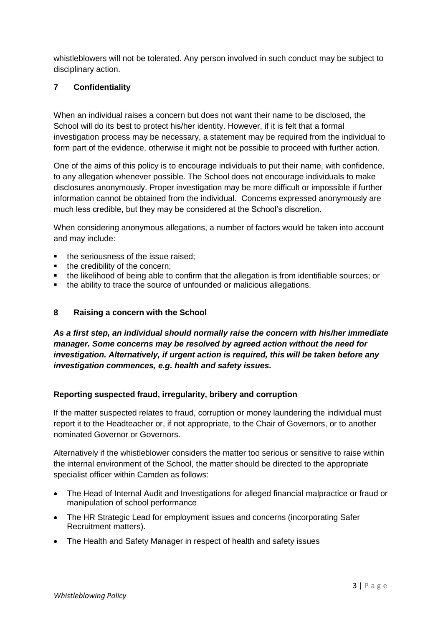whistleblowers will not be tolerated. Any person involved in such conduct may be subject to disciplinary action.

### **7 Confidentiality**

When an individual raises a concern but does not want their name to be disclosed, the School will do its best to protect his/her identity. However, if it is felt that a formal investigation process may be necessary, a statement may be required from the individual to form part of the evidence, otherwise it might not be possible to proceed with further action.

One of the aims of this policy is to encourage individuals to put their name, with confidence, to any allegation whenever possible. The School does not encourage individuals to make disclosures anonymously. Proper investigation may be more difficult or impossible if further information cannot be obtained from the individual. Concerns expressed anonymously are much less credible, but they may be considered at the School's discretion.

When considering anonymous allegations, a number of factors would be taken into account and may include:

- the seriousness of the issue raised;
- the credibility of the concern;
- the likelihood of being able to confirm that the allegation is from identifiable sources; or
- the ability to trace the source of unfounded or malicious allegations.

#### **8 Raising a concern with the School**

*As a first step, an individual should normally raise the concern with his/her immediate manager. Some concerns may be resolved by agreed action without the need for investigation. Alternatively, if urgent action is required, this will be taken before any investigation commences, e.g. health and safety issues.* 

#### **Reporting suspected fraud, irregularity, bribery and corruption**

If the matter suspected relates to fraud, corruption or money laundering the individual must report it to the Headteacher or, if not appropriate, to the Chair of Governors, or to another nominated Governor or Governors.

Alternatively if the whistleblower considers the matter too serious or sensitive to raise within the internal environment of the School, the matter should be directed to the appropriate specialist officer within Camden as follows:

- The Head of Internal Audit and Investigations for alleged financial malpractice or fraud or manipulation of school performance
- The HR Strategic Lead for employment issues and concerns (incorporating Safer Recruitment matters).
- The Health and Safety Manager in respect of health and safety issues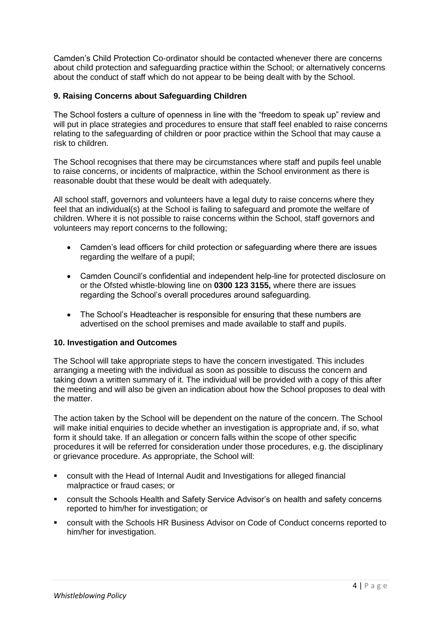Camden's Child Protection Co-ordinator should be contacted whenever there are concerns about child protection and safeguarding practice within the School; or alternatively concerns about the conduct of staff which do not appear to be being dealt with by the School.

#### **9. Raising Concerns about Safeguarding Children**

The School fosters a culture of openness in line with the "freedom to speak up" review and will put in place strategies and procedures to ensure that staff feel enabled to raise concerns relating to the safeguarding of children or poor practice within the School that may cause a risk to children.

The School recognises that there may be circumstances where staff and pupils feel unable to raise concerns, or incidents of malpractice, within the School environment as there is reasonable doubt that these would be dealt with adequately.

All school staff, governors and volunteers have a legal duty to raise concerns where they feel that an individual(s) at the School is failing to safeguard and promote the welfare of children. Where it is not possible to raise concerns within the School, staff governors and volunteers may report concerns to the following;

- Camden's lead officers for child protection or safeguarding where there are issues regarding the welfare of a pupil;
- Camden Council's confidential and independent help-line for protected disclosure on or the Ofsted whistle-blowing line on **0300 123 3155,** where there are issues regarding the School's overall procedures around safeguarding.
- The School's Headteacher is responsible for ensuring that these numbers are advertised on the school premises and made available to staff and pupils.

#### **10. Investigation and Outcomes**

The School will take appropriate steps to have the concern investigated. This includes arranging a meeting with the individual as soon as possible to discuss the concern and taking down a written summary of it. The individual will be provided with a copy of this after the meeting and will also be given an indication about how the School proposes to deal with the matter.

The action taken by the School will be dependent on the nature of the concern. The School will make initial enquiries to decide whether an investigation is appropriate and, if so, what form it should take. If an allegation or concern falls within the scope of other specific procedures it will be referred for consideration under those procedures, e.g. the disciplinary or grievance procedure. As appropriate, the School will:

- consult with the Head of Internal Audit and Investigations for alleged financial malpractice or fraud cases; or
- consult the Schools Health and Safety Service Advisor's on health and safety concerns reported to him/her for investigation; or
- consult with the Schools HR Business Advisor on Code of Conduct concerns reported to him/her for investigation.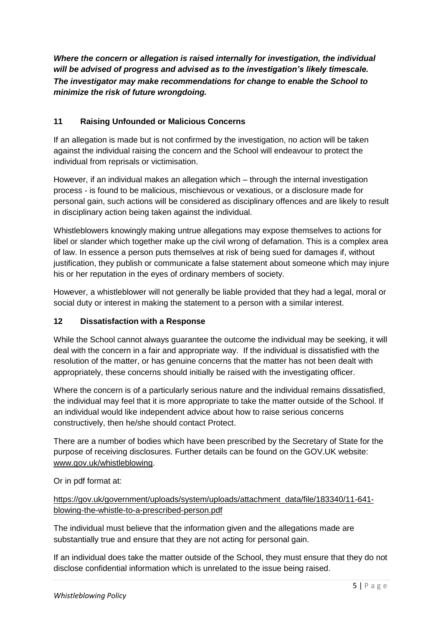*Where the concern or allegation is raised internally for investigation, the individual will be advised of progress and advised as to the investigation's likely timescale. The investigator may make recommendations for change to enable the School to minimize the risk of future wrongdoing.* 

# **11 Raising Unfounded or Malicious Concerns**

If an allegation is made but is not confirmed by the investigation, no action will be taken against the individual raising the concern and the School will endeavour to protect the individual from reprisals or victimisation.

However, if an individual makes an allegation which – through the internal investigation process - is found to be malicious, mischievous or vexatious, or a disclosure made for personal gain, such actions will be considered as disciplinary offences and are likely to result in disciplinary action being taken against the individual.

Whistleblowers knowingly making untrue allegations may expose themselves to actions for libel or slander which together make up the civil wrong of defamation. This is a complex area of law. In essence a person puts themselves at risk of being sued for damages if, without justification, they publish or communicate a false statement about someone which may injure his or her reputation in the eyes of ordinary members of society.

However, a whistleblower will not generally be liable provided that they had a legal, moral or social duty or interest in making the statement to a person with a similar interest.

# **12 Dissatisfaction with a Response**

While the School cannot always guarantee the outcome the individual may be seeking, it will deal with the concern in a fair and appropriate way. If the individual is dissatisfied with the resolution of the matter, or has genuine concerns that the matter has not been dealt with appropriately, these concerns should initially be raised with the investigating officer.

Where the concern is of a particularly serious nature and the individual remains dissatisfied, the individual may feel that it is more appropriate to take the matter outside of the School. If an individual would like independent advice about how to raise serious concerns constructively, then he/she should contact Protect.

There are a number of bodies which have been prescribed by the Secretary of State for the purpose of receiving disclosures. Further details can be found on the GOV.UK website: [www.gov.uk/whistleblowing.](http://www.gov.uk/whistleblowing)

Or in pdf format at:

[https://gov.uk/government/uploads/system/uploads/attachment\\_data/file/183340/11-641](https://gov.uk/government/uploads/system/uploads/attachment_data/file/183340/11-641-blowing-the-whistle-to-a-prescribed-person.pdf) [blowing-the-whistle-to-a-prescribed-person.pdf](https://gov.uk/government/uploads/system/uploads/attachment_data/file/183340/11-641-blowing-the-whistle-to-a-prescribed-person.pdf) 

The individual must believe that the information given and the allegations made are substantially true and ensure that they are not acting for personal gain.

If an individual does take the matter outside of the School, they must ensure that they do not disclose confidential information which is unrelated to the issue being raised.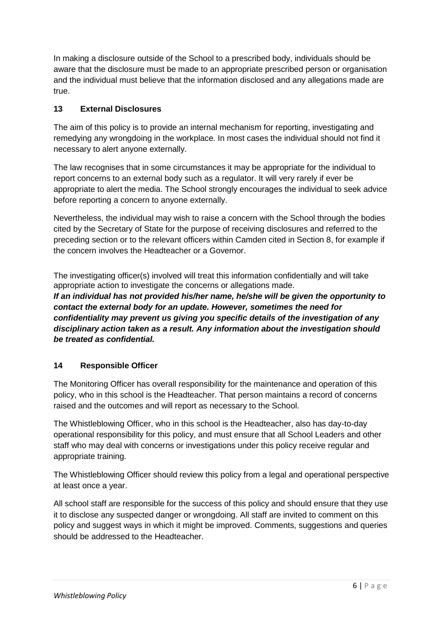In making a disclosure outside of the School to a prescribed body, individuals should be aware that the disclosure must be made to an appropriate prescribed person or organisation and the individual must believe that the information disclosed and any allegations made are true.

### **13 External Disclosures**

The aim of this policy is to provide an internal mechanism for reporting, investigating and remedying any wrongdoing in the workplace. In most cases the individual should not find it necessary to alert anyone externally.

The law recognises that in some circumstances it may be appropriate for the individual to report concerns to an external body such as a regulator. It will very rarely if ever be appropriate to alert the media. The School strongly encourages the individual to seek advice before reporting a concern to anyone externally.

Nevertheless, the individual may wish to raise a concern with the School through the bodies cited by the Secretary of State for the purpose of receiving disclosures and referred to the preceding section or to the relevant officers within Camden cited in Section 8, for example if the concern involves the Headteacher or a Governor.

The investigating officer(s) involved will treat this information confidentially and will take appropriate action to investigate the concerns or allegations made. *If an individual has not provided his/her name, he/she will be given the opportunity to* 

*contact the external body for an update. However, sometimes the need for confidentiality may prevent us giving you specific details of the investigation of any disciplinary action taken as a result. Any information about the investigation should be treated as confidential.* 

# **14 Responsible Officer**

The Monitoring Officer has overall responsibility for the maintenance and operation of this policy, who in this school is the Headteacher. That person maintains a record of concerns raised and the outcomes and will report as necessary to the School.

The Whistleblowing Officer, who in this school is the Headteacher, also has day-to-day operational responsibility for this policy, and must ensure that all School Leaders and other staff who may deal with concerns or investigations under this policy receive regular and appropriate training.

The Whistleblowing Officer should review this policy from a legal and operational perspective at least once a year.

All school staff are responsible for the success of this policy and should ensure that they use it to disclose any suspected danger or wrongdoing. All staff are invited to comment on this policy and suggest ways in which it might be improved. Comments, suggestions and queries should be addressed to the Headteacher.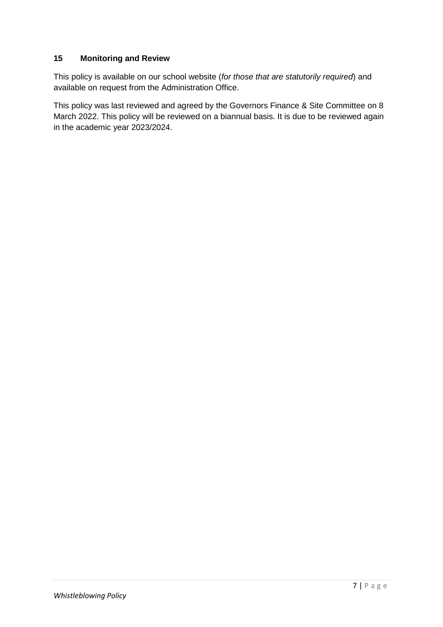### **15 Monitoring and Review**

This policy is available on our school website (*for those that are statutorily required*) and available on request from the Administration Office.

This policy was last reviewed and agreed by the Governors Finance & Site Committee on 8 March 2022. This policy will be reviewed on a biannual basis. It is due to be reviewed again in the academic year 2023/2024.